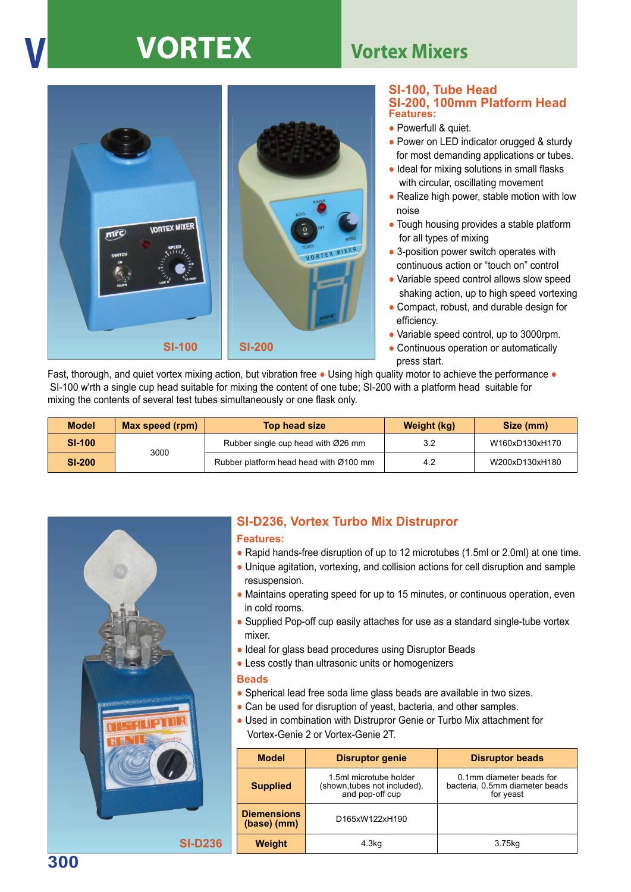## **V VORTEX Vortex Mixers**



#### **Features: SI-100, Tube Head SI-200, 100mm Platform Head**

- Powerfull & quiet.
- Power on LED indicator orugged & sturdy for most demanding applications or tubes.
- Ideal for mixing solutions in small flasks with circular, oscillating movement
- Realize high power, stable motion with low noise
- Tough housing provides a stable platform for all types of mixing
- 3-position power switch operates with continuous action or "touch on" control
- Variable speed control allows slow speed shaking action, up to high speed vortexing
- Compact, robust, and durable design for efficiency.
- Variable speed control, up to 3000rpm.
- Continuous operation or automatically press start.

Fast, thorough, and quiet vortex mixing action, but vibration free ● Using high quality motor to achieve the performance ● SI-100 w'rth a single cup head suitable for mixing the content of one tube; SI-200 with a platform head suitable for mixing the contents of several test tubes simultaneously or one flask only.

| <b>Model</b>  | Max speed (rpm) | Top head size                          | Weight (kg) | Size (mm)      |
|---------------|-----------------|----------------------------------------|-------------|----------------|
| <b>SI-100</b> | 3000            | Rubber single cup head with Ø26 mm     | 3.2         | W160xD130xH170 |
| <b>SI-200</b> |                 | Rubber platform head head with Ø100 mm | 4.2         | W200xD130xH180 |



### **SI-D236, Vortex Turbo Mix Distrupror**

### **Features:**

- Rapid hands-free disruption of up to 12 microtubes (1.5ml or 2.0ml) at one time.
- Unique agitation, vortexing, and collision actions for cell disruption and sample resuspension.
- Maintains operating speed for up to 15 minutes, or continuous operation, even in cold rooms.
- Supplied Pop-off cup easily attaches for use as a standard single-tube vortex mixer.
- Ideal for glass bead procedures using Disruptor Beads
- Less costly than ultrasonic units or homogenizers

### **Beads**

- Spherical lead free soda lime glass beads are available in two sizes.
- Can be used for disruption of yeast, bacteria, and other samples.
- Used in combination with Distrupror Genie or Turbo Mix attachment for Vortex-Genie 2 or Vortex-Genie 2T.

| <b>Model</b>                      | <b>Disruptor genie</b>                                                    | <b>Disruptor beads</b>                                                  |
|-----------------------------------|---------------------------------------------------------------------------|-------------------------------------------------------------------------|
| <b>Supplied</b>                   | 1.5ml microtube holder<br>(shown, tubes not included),<br>and pop-off cup | 0.1mm diameter beads for<br>bacteria, 0.5mm diameter beads<br>for yeast |
| <b>Diemensions</b><br>(base) (mm) | D165xW122xH190                                                            |                                                                         |
| Weight                            | 4.3 <sub>kq</sub>                                                         | 3.75kg                                                                  |

**300**